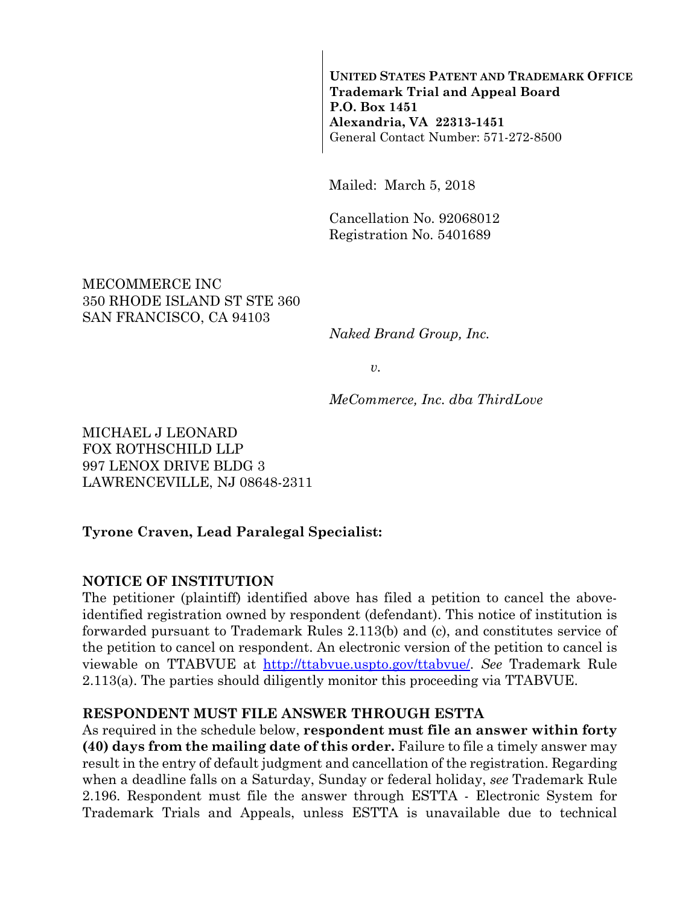**UNITED STATES PATENT AND TRADEMARK OFFICE Trademark Trial and Appeal Board P.O. Box 1451 Alexandria, VA 22313-1451**  General Contact Number: 571-272-8500

Mailed: March 5, 2018

Cancellation No. 92068012 Registration No. 5401689

MECOMMERCE INC 350 RHODE ISLAND ST STE 360 SAN FRANCISCO, CA 94103

*Naked Brand Group, Inc.* 

*v.* 

*MeCommerce, Inc. dba ThirdLove* 

MICHAEL J LEONARD FOX ROTHSCHILD LLP 997 LENOX DRIVE BLDG 3 LAWRENCEVILLE, NJ 08648-2311

#### **Tyrone Craven, Lead Paralegal Specialist:**

#### **NOTICE OF INSTITUTION**

The petitioner (plaintiff) identified above has filed a petition to cancel the aboveidentified registration owned by respondent (defendant). This notice of institution is forwarded pursuant to Trademark Rules 2.113(b) and (c), and constitutes service of the petition to cancel on respondent. An electronic version of the petition to cancel is viewable on TTABVUE at http://ttabvue.uspto.gov/ttabvue/. *See* Trademark Rule 2.113(a). The parties should diligently monitor this proceeding via TTABVUE.

#### **RESPONDENT MUST FILE ANSWER THROUGH ESTTA**

As required in the schedule below, **respondent must file an answer within forty (40) days from the mailing date of this order.** Failure to file a timely answer may result in the entry of default judgment and cancellation of the registration. Regarding when a deadline falls on a Saturday, Sunday or federal holiday, *see* Trademark Rule 2.196. Respondent must file the answer through ESTTA - Electronic System for Trademark Trials and Appeals, unless ESTTA is unavailable due to technical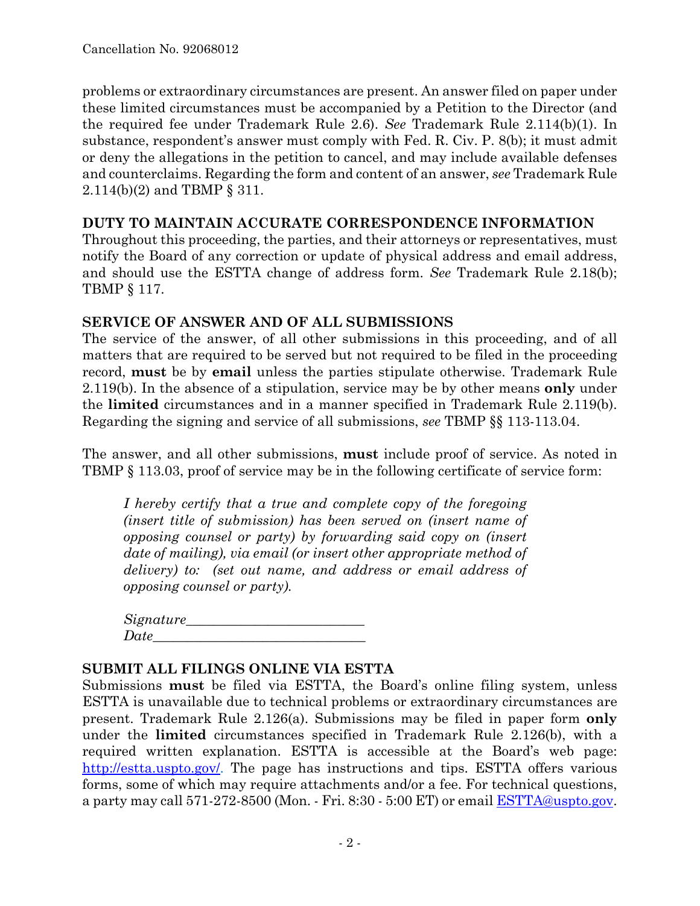problems or extraordinary circumstances are present. An answer filed on paper under these limited circumstances must be accompanied by a Petition to the Director (and the required fee under Trademark Rule 2.6). *See* Trademark Rule 2.114(b)(1). In substance, respondent's answer must comply with Fed. R. Civ. P. 8(b); it must admit or deny the allegations in the petition to cancel, and may include available defenses and counterclaims. Regarding the form and content of an answer, *see* Trademark Rule 2.114(b)(2) and TBMP § 311.

#### **DUTY TO MAINTAIN ACCURATE CORRESPONDENCE INFORMATION**

Throughout this proceeding, the parties, and their attorneys or representatives, must notify the Board of any correction or update of physical address and email address, and should use the ESTTA change of address form. *See* Trademark Rule 2.18(b); TBMP § 117.

### **SERVICE OF ANSWER AND OF ALL SUBMISSIONS**

The service of the answer, of all other submissions in this proceeding, and of all matters that are required to be served but not required to be filed in the proceeding record, **must** be by **email** unless the parties stipulate otherwise. Trademark Rule 2.119(b). In the absence of a stipulation, service may be by other means **only** under the **limited** circumstances and in a manner specified in Trademark Rule 2.119(b). Regarding the signing and service of all submissions, *see* TBMP §§ 113-113.04.

The answer, and all other submissions, **must** include proof of service. As noted in TBMP § 113.03, proof of service may be in the following certificate of service form:

*I hereby certify that a true and complete copy of the foregoing (insert title of submission) has been served on (insert name of opposing counsel or party) by forwarding said copy on (insert date of mailing), via email (or insert other appropriate method of delivery) to: (set out name, and address or email address of opposing counsel or party).* 

| Signature_ |  |
|------------|--|
| Date       |  |

#### **SUBMIT ALL FILINGS ONLINE VIA ESTTA**

Submissions **must** be filed via ESTTA, the Board's online filing system, unless ESTTA is unavailable due to technical problems or extraordinary circumstances are present. Trademark Rule 2.126(a). Submissions may be filed in paper form **only** under the **limited** circumstances specified in Trademark Rule 2.126(b), with a required written explanation. ESTTA is accessible at the Board's web page: http://estta.uspto.gov/. The page has instructions and tips. ESTTA offers various forms, some of which may require attachments and/or a fee. For technical questions, a party may call 571-272-8500 (Mon. - Fri. 8:30 - 5:00 ET) or email ESTTA@uspto.gov.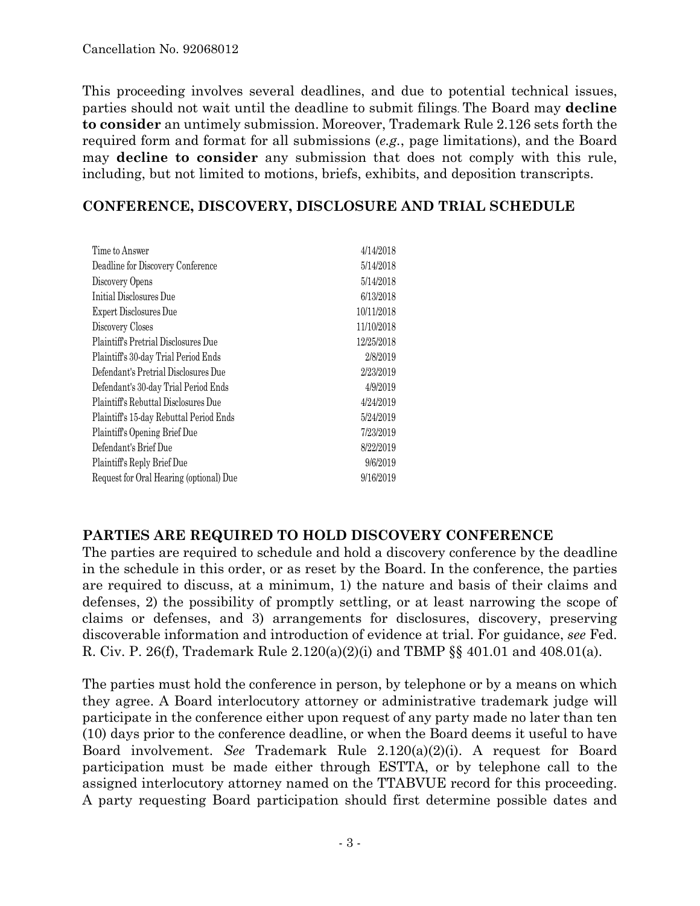This proceeding involves several deadlines, and due to potential technical issues, parties should not wait until the deadline to submit filings. The Board may **decline to consider** an untimely submission. Moreover, Trademark Rule 2.126 sets forth the required form and format for all submissions (*e.g.*, page limitations), and the Board may **decline to consider** any submission that does not comply with this rule, including, but not limited to motions, briefs, exhibits, and deposition transcripts.

## **CONFERENCE, DISCOVERY, DISCLOSURE AND TRIAL SCHEDULE**

| Time to Answer                              | 4/14/2018  |
|---------------------------------------------|------------|
| Deadline for Discovery Conference           | 5/14/2018  |
| Discovery Opens                             | 5/14/2018  |
| Initial Disclosures Due                     | 6/13/2018  |
| <b>Expert Disclosures Due</b>               | 10/11/2018 |
| Discovery Closes                            | 11/10/2018 |
| <b>Plaintiff's Pretrial Disclosures Due</b> | 12/25/2018 |
| Plaintiff's 30-day Trial Period Ends        | 2/8/2019   |
| Defendant's Pretrial Disclosures Due        | 2/23/2019  |
| Defendant's 30-day Trial Period Ends        | 4/9/2019   |
| Plaintiff's Rebuttal Disclosures Due        | 4/24/2019  |
| Plaintiff's 15-day Rebuttal Period Ends     | 5/24/2019  |
| Plaintiff's Opening Brief Due               | 7/23/2019  |
| Defendant's Brief Due                       | 8/22/2019  |
| Plaintiff's Reply Brief Due                 | 9/6/2019   |
| Request for Oral Hearing (optional) Due     | 9/16/2019  |
|                                             |            |

### **PARTIES ARE REQUIRED TO HOLD DISCOVERY CONFERENCE**

The parties are required to schedule and hold a discovery conference by the deadline in the schedule in this order, or as reset by the Board. In the conference, the parties are required to discuss, at a minimum, 1) the nature and basis of their claims and defenses, 2) the possibility of promptly settling, or at least narrowing the scope of claims or defenses, and 3) arrangements for disclosures, discovery, preserving discoverable information and introduction of evidence at trial. For guidance, *see* Fed. R. Civ. P. 26(f), Trademark Rule 2.120(a)(2)(i) and TBMP §§ 401.01 and 408.01(a).

The parties must hold the conference in person, by telephone or by a means on which they agree. A Board interlocutory attorney or administrative trademark judge will participate in the conference either upon request of any party made no later than ten (10) days prior to the conference deadline, or when the Board deems it useful to have Board involvement. *See* Trademark Rule 2.120(a)(2)(i). A request for Board participation must be made either through ESTTA, or by telephone call to the assigned interlocutory attorney named on the TTABVUE record for this proceeding. A party requesting Board participation should first determine possible dates and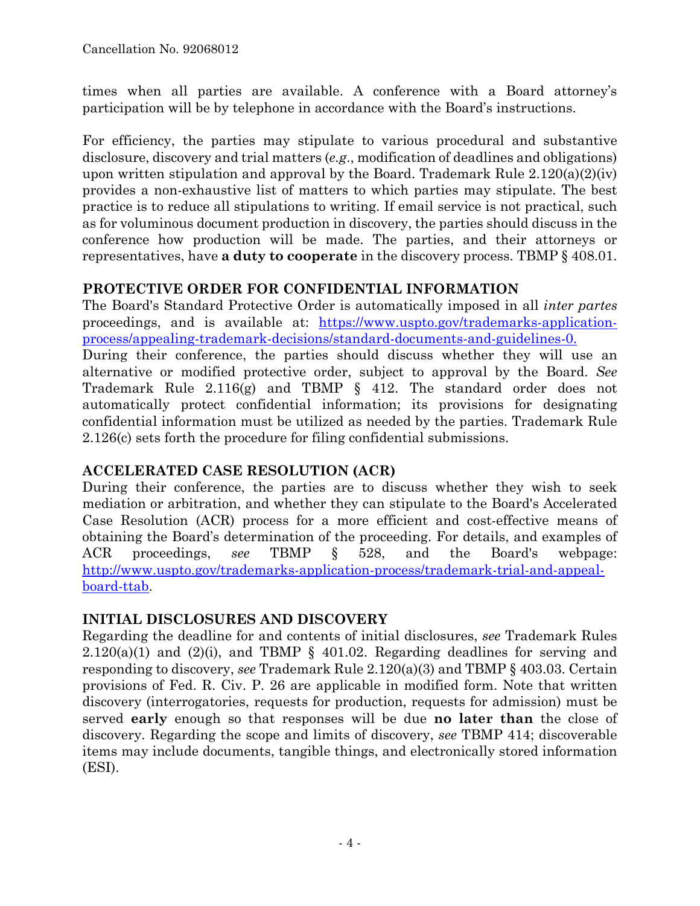times when all parties are available. A conference with a Board attorney's participation will be by telephone in accordance with the Board's instructions.

For efficiency, the parties may stipulate to various procedural and substantive disclosure, discovery and trial matters (*e.g*., modification of deadlines and obligations) upon written stipulation and approval by the Board. Trademark Rule  $2.120(a)(2)(iv)$ provides a non-exhaustive list of matters to which parties may stipulate. The best practice is to reduce all stipulations to writing. If email service is not practical, such as for voluminous document production in discovery, the parties should discuss in the conference how production will be made. The parties, and their attorneys or representatives, have **a duty to cooperate** in the discovery process. TBMP § 408.01.

## **PROTECTIVE ORDER FOR CONFIDENTIAL INFORMATION**

The Board's Standard Protective Order is automatically imposed in all *inter partes* proceedings, and is available at: https://www.uspto.gov/trademarks-applicationprocess/appealing-trademark-decisions/standard-documents-and-guidelines-0.

During their conference, the parties should discuss whether they will use an alternative or modified protective order, subject to approval by the Board. *See* Trademark Rule 2.116(g) and TBMP § 412. The standard order does not automatically protect confidential information; its provisions for designating confidential information must be utilized as needed by the parties. Trademark Rule 2.126(c) sets forth the procedure for filing confidential submissions.

# **ACCELERATED CASE RESOLUTION (ACR)**

During their conference, the parties are to discuss whether they wish to seek mediation or arbitration, and whether they can stipulate to the Board's Accelerated Case Resolution (ACR) process for a more efficient and cost-effective means of obtaining the Board's determination of the proceeding. For details, and examples of ACR proceedings, *see* TBMP § 528, and the Board's webpage: http://www.uspto.gov/trademarks-application-process/trademark-trial-and-appealboard-ttab.

# **INITIAL DISCLOSURES AND DISCOVERY**

Regarding the deadline for and contents of initial disclosures, *see* Trademark Rules  $2.120(a)(1)$  and  $(2)(i)$ , and TBMP § 401.02. Regarding deadlines for serving and responding to discovery, *see* Trademark Rule 2.120(a)(3) and TBMP § 403.03. Certain provisions of Fed. R. Civ. P. 26 are applicable in modified form. Note that written discovery (interrogatories, requests for production, requests for admission) must be served **early** enough so that responses will be due **no later than** the close of discovery. Regarding the scope and limits of discovery, *see* TBMP 414; discoverable items may include documents, tangible things, and electronically stored information (ESI).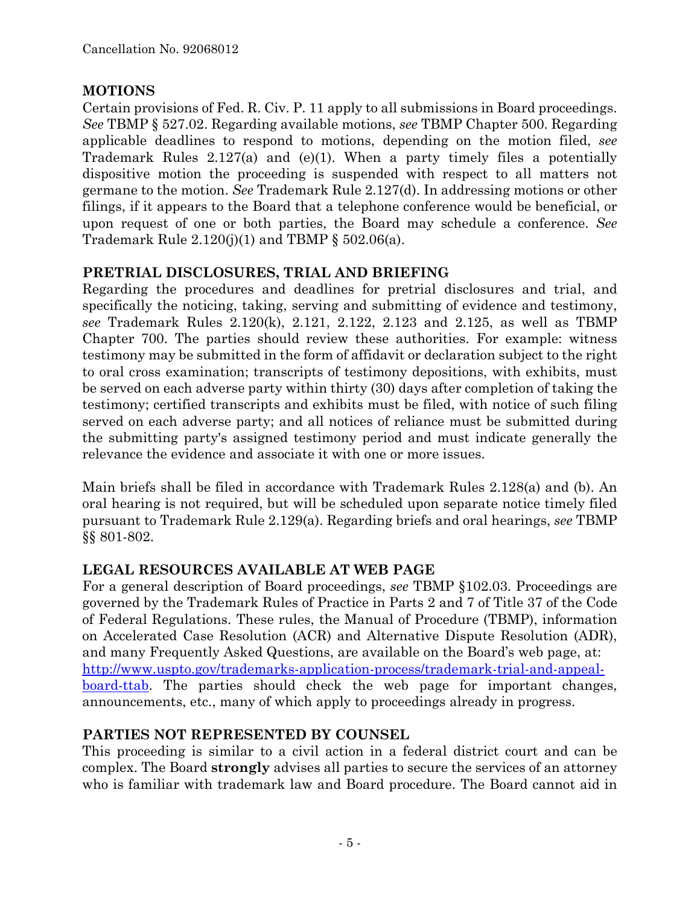# **MOTIONS**

Certain provisions of Fed. R. Civ. P. 11 apply to all submissions in Board proceedings. *See* TBMP § 527.02. Regarding available motions, *see* TBMP Chapter 500. Regarding applicable deadlines to respond to motions, depending on the motion filed, *see* Trademark Rules 2.127(a) and (e)(1). When a party timely files a potentially dispositive motion the proceeding is suspended with respect to all matters not germane to the motion. *See* Trademark Rule 2.127(d). In addressing motions or other filings, if it appears to the Board that a telephone conference would be beneficial, or upon request of one or both parties, the Board may schedule a conference. *See* Trademark Rule  $2.120(j)(1)$  and TBMP §  $502.06(a)$ .

## **PRETRIAL DISCLOSURES, TRIAL AND BRIEFING**

Regarding the procedures and deadlines for pretrial disclosures and trial, and specifically the noticing, taking, serving and submitting of evidence and testimony, *see* Trademark Rules 2.120(k), 2.121, 2.122, 2.123 and 2.125, as well as TBMP Chapter 700. The parties should review these authorities. For example: witness testimony may be submitted in the form of affidavit or declaration subject to the right to oral cross examination; transcripts of testimony depositions, with exhibits, must be served on each adverse party within thirty (30) days after completion of taking the testimony; certified transcripts and exhibits must be filed, with notice of such filing served on each adverse party; and all notices of reliance must be submitted during the submitting party's assigned testimony period and must indicate generally the relevance the evidence and associate it with one or more issues.

Main briefs shall be filed in accordance with Trademark Rules 2.128(a) and (b). An oral hearing is not required, but will be scheduled upon separate notice timely filed pursuant to Trademark Rule 2.129(a). Regarding briefs and oral hearings, *see* TBMP §§ 801-802.

# **LEGAL RESOURCES AVAILABLE AT WEB PAGE**

For a general description of Board proceedings, *see* TBMP §102.03. Proceedings are governed by the Trademark Rules of Practice in Parts 2 and 7 of Title 37 of the Code of Federal Regulations. These rules, the Manual of Procedure (TBMP), information on Accelerated Case Resolution (ACR) and Alternative Dispute Resolution (ADR), and many Frequently Asked Questions, are available on the Board's web page, at: http://www.uspto.gov/trademarks-application-process/trademark-trial-and-appealboard-ttab. The parties should check the web page for important changes, announcements, etc., many of which apply to proceedings already in progress.

# **PARTIES NOT REPRESENTED BY COUNSEL**

This proceeding is similar to a civil action in a federal district court and can be complex. The Board **strongly** advises all parties to secure the services of an attorney who is familiar with trademark law and Board procedure. The Board cannot aid in